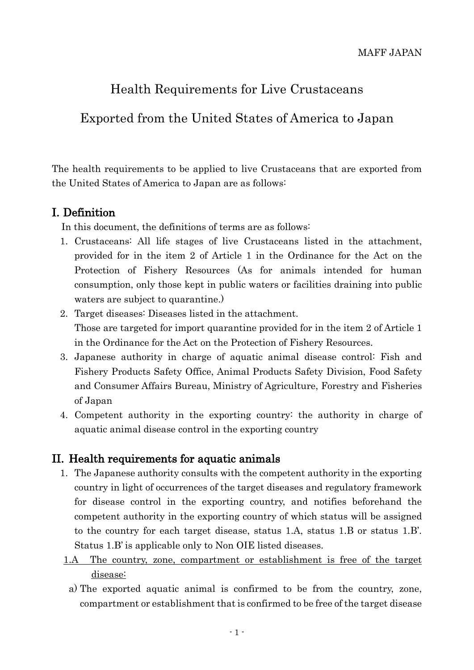# Health Requirements for Live Crustaceans

# Exported from the United States of America to Japan

The health requirements to be applied to live Crustaceans that are exported from the United States of America to Japan are as follows:

#### I. Definition

In this document, the definitions of terms are as follows:

- 1. Crustaceans: All life stages of live Crustaceans listed in the attachment, provided for in the item 2 of Article 1 in the Ordinance for the Act on the Protection of Fishery Resources (As for animals intended for human consumption, only those kept in public waters or facilities draining into public waters are subject to quarantine.)
- 2. Target diseases: Diseases listed in the attachment. Those are targeted for import quarantine provided for in the item 2 of Article 1 in the Ordinance for the Act on the Protection of Fishery Resources.
- 3. Japanese authority in charge of aquatic animal disease control: Fish and Fishery Products Safety Office, Animal Products Safety Division, Food Safety and Consumer Affairs Bureau, Ministry of Agriculture, Forestry and Fisheries of Japan
- 4. Competent authority in the exporting country: the authority in charge of aquatic animal disease control in the exporting country

### II. Health requirements for aquatic animals

- 1. The Japanese authority consults with the competent authority in the exporting country in light of occurrences of the target diseases and regulatory framework for disease control in the exporting country, and notifies beforehand the competent authority in the exporting country of which status will be assigned to the country for each target disease, status 1.A, status 1.B or status 1.B'. Status 1.B' is applicable only to Non OIE listed diseases.
- 1.A The country, zone, compartment or establishment is free of the target disease:
- a) The exported aquatic animal is confirmed to be from the country, zone, compartment or establishment that is confirmed to be free of the target disease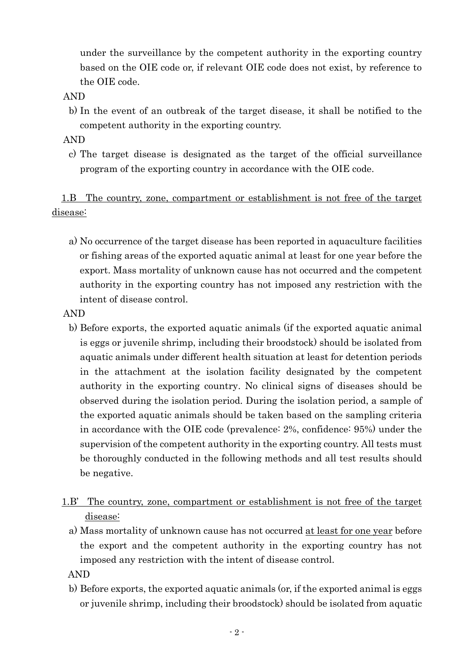under the surveillance by the competent authority in the exporting country based on the OIE code or, if relevant OIE code does not exist, by reference to the OIE code.

- AND
	- b) In the event of an outbreak of the target disease, it shall be notified to the competent authority in the exporting country.
- AND
	- c) The target disease is designated as the target of the official surveillance program of the exporting country in accordance with the OIE code.

1.B The country, zone, compartment or establishment is not free of the target disease:

- a) No occurrence of the target disease has been reported in aquaculture facilities or fishing areas of the exported aquatic animal at least for one year before the export. Mass mortality of unknown cause has not occurred and the competent authority in the exporting country has not imposed any restriction with the intent of disease control.
- AND
	- b) Before exports, the exported aquatic animals (if the exported aquatic animal is eggs or juvenile shrimp, including their broodstock) should be isolated from aquatic animals under different health situation at least for detention periods in the attachment at the isolation facility designated by the competent authority in the exporting country. No clinical signs of diseases should be observed during the isolation period. During the isolation period, a sample of the exported aquatic animals should be taken based on the sampling criteria in accordance with the OIE code (prevalence: 2%, confidence: 95%) under the supervision of the competent authority in the exporting country. All tests must be thoroughly conducted in the following methods and all test results should be negative.
- 1.B' The country, zone, compartment or establishment is not free of the target disease:
	- a) Mass mortality of unknown cause has not occurred at least for one year before the export and the competent authority in the exporting country has not imposed any restriction with the intent of disease control.

AND

b) Before exports, the exported aquatic animals (or, if the exported animal is eggs or juvenile shrimp, including their broodstock) should be isolated from aquatic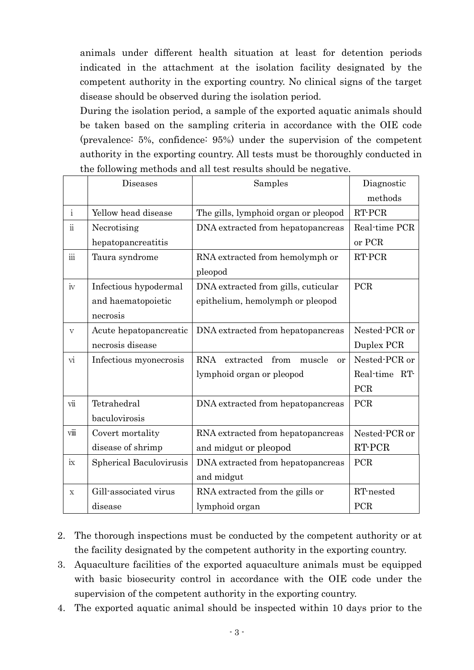animals under different health situation at least for detention periods indicated in the attachment at the isolation facility designated by the competent authority in the exporting country. No clinical signs of the target disease should be observed during the isolation period.

During the isolation period, a sample of the exported aquatic animals should be taken based on the sampling criteria in accordance with the OIE code (prevalence: 5%, confidence: 95%) under the supervision of the competent authority in the exporting country. All tests must be thoroughly conducted in the following methods and all test results should be negative.

|                          | <b>Diseases</b>         | Samples                                                | Diagnostic    |
|--------------------------|-------------------------|--------------------------------------------------------|---------------|
|                          |                         |                                                        | methods       |
| $\mathbf{i}$             | Yellow head disease     | The gills, lymphoid organ or pleopod                   | RT-PCR        |
| $\ddot{\text{ii}}$       | Necrotising             | DNA extracted from hepatopancreas                      | Real-time PCR |
|                          | hepatopancreatitis      |                                                        | or PCR        |
| $\ddot{\text{iii}}$      | Taura syndrome          | RNA extracted from hemolymph or                        | RT-PCR        |
|                          |                         | pleopod                                                |               |
| iv                       | Infectious hypodermal   | DNA extracted from gills, cuticular                    | <b>PCR</b>    |
|                          | and haematopoietic      | epithelium, hemolymph or pleopod                       |               |
|                          | necrosis                |                                                        |               |
| V                        | Acute hepatopancreatic  | DNA extracted from hepatopancreas                      | Nested-PCR or |
|                          | necrosis disease        |                                                        | Duplex PCR    |
| $\overline{\mathrm{vi}}$ | Infectious myonecrosis  | <b>RNA</b><br>extracted<br>from<br>muscle<br><b>or</b> | Nested-PCR or |
|                          |                         | lymphoid organ or pleopod                              | Real-time RT- |
|                          |                         |                                                        | PCR           |
| vii                      | Tetrahedral             | DNA extracted from hepatopancreas                      | <b>PCR</b>    |
|                          | baculovirosis           |                                                        |               |
| viii                     | Covert mortality        | RNA extracted from hepatopancreas                      | Nested-PCR or |
|                          | disease of shrimp       | and midgut or pleopod                                  | RT-PCR        |
| ix                       | Spherical Baculovirusis | DNA extracted from hepatopancreas                      | PCR           |
|                          |                         | and midgut                                             |               |
| X                        | Gill-associated virus   | RNA extracted from the gills or                        | RT-nested     |
|                          | disease                 | lymphoid organ                                         | PCR           |

- 2. The thorough inspections must be conducted by the competent authority or at the facility designated by the competent authority in the exporting country.
- 3. Aquaculture facilities of the exported aquaculture animals must be equipped with basic biosecurity control in accordance with the OIE code under the supervision of the competent authority in the exporting country.
- 4. The exported aquatic animal should be inspected within 10 days prior to the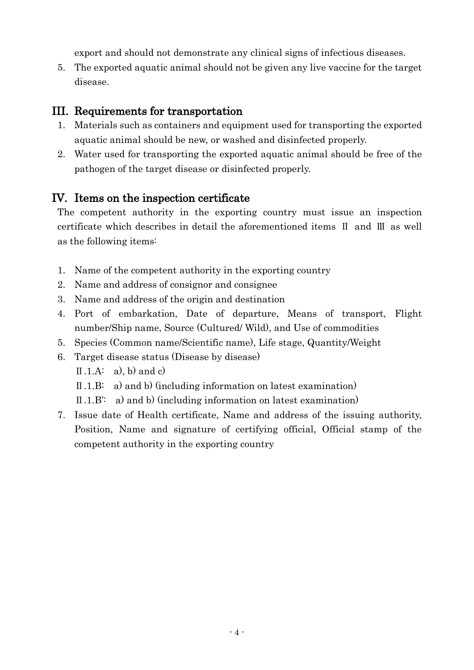export and should not demonstrate any clinical signs of infectious diseases.

5. The exported aquatic animal should not be given any live vaccine for the target disease.

#### III. Requirements for transportation

- 1. Materials such as containers and equipment used for transporting the exported aquatic animal should be new, or washed and disinfected properly.
- 2. Water used for transporting the exported aquatic animal should be free of the pathogen of the target disease or disinfected properly.

### IV. Items on the inspection certificate

The competent authority in the exporting country must issue an inspection certificate which describes in detail the aforementioned items Ⅱ and Ⅲ as well as the following items:

- 1. Name of the competent authority in the exporting country
- 2. Name and address of consignor and consignee
- 3. Name and address of the origin and destination
- 4. Port of embarkation, Date of departure, Means of transport, Flight number/Ship name, Source (Cultured/ Wild), and Use of commodities
- 5. Species (Common name/Scientific name), Life stage, Quantity/Weight
- 6. Target disease status (Disease by disease)
	- $II.A: a)$ , b) and c)
	- Ⅱ.1.B: a) and b) (including information on latest examination)
	- Ⅱ.1.B': a) and b) (including information on latest examination)
- 7. Issue date of Health certificate, Name and address of the issuing authority, Position, Name and signature of certifying official, Official stamp of the competent authority in the exporting country